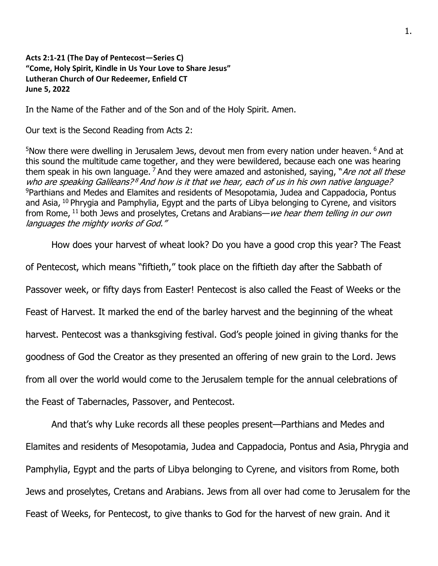## **Acts 2:1-21 (The Day of Pentecost—Series C) "Come, Holy Spirit, Kindle in Us Your Love to Share Jesus" Lutheran Church of Our Redeemer, Enfield CT June 5, 2022**

In the Name of the Father and of the Son and of the Holy Spirit. Amen.

Our text is the Second Reading from Acts 2:

<sup>5</sup>Now there were dwelling in Jerusalem Jews, devout men from every nation under heaven. <sup>6</sup> And at this sound the multitude came together, and they were bewildered, because each one was hearing them speak in his own language.  $\frac{7}{4}$  And they were amazed and astonished, saying, "Are not all these who are speaking Galileans?<sup>8</sup> And how is it that we hear, each of us in his own native language? <sup>9</sup>Parthians and Medes and Elamites and residents of Mesopotamia, Judea and Cappadocia, Pontus and Asia,  $10$  Phrygia and Pamphylia, Egypt and the parts of Libya belonging to Cyrene, and visitors from Rome,  $11$  both Jews and proselytes, Cretans and Arabians—we hear them telling in our own languages the mighty works of God."

How does your harvest of wheat look? Do you have a good crop this year? The Feast

of Pentecost, which means "fiftieth," took place on the fiftieth day after the Sabbath of

Passover week, or fifty days from Easter! Pentecost is also called the Feast of Weeks or the

Feast of Harvest. It marked the end of the barley harvest and the beginning of the wheat

harvest. Pentecost was a thanksgiving festival. God's people joined in giving thanks for the

goodness of God the Creator as they presented an offering of new grain to the Lord. Jews

from all over the world would come to the Jerusalem temple for the annual celebrations of

the Feast of Tabernacles, Passover, and Pentecost.

And that's why Luke records all these peoples present—Parthians and Medes and Elamites and residents of Mesopotamia, Judea and Cappadocia, Pontus and Asia, Phrygia and Pamphylia, Egypt and the parts of Libya belonging to Cyrene, and visitors from Rome, both Jews and proselytes, Cretans and Arabians. Jews from all over had come to Jerusalem for the Feast of Weeks, for Pentecost, to give thanks to God for the harvest of new grain. And it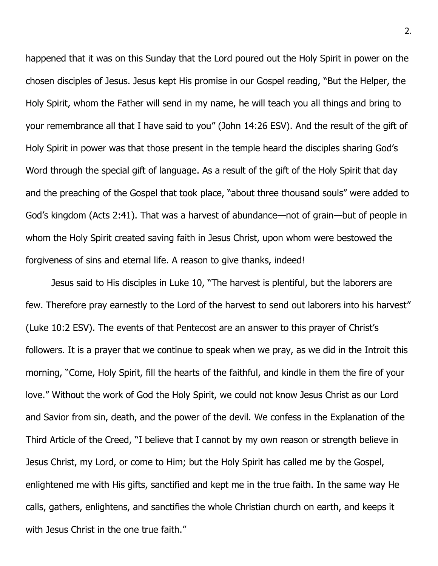happened that it was on this Sunday that the Lord poured out the Holy Spirit in power on the chosen disciples of Jesus. Jesus kept His promise in our Gospel reading, "But the Helper, the Holy Spirit, whom the Father will send in my name, he will teach you all things and bring to your remembrance all that I have said to you" (John 14:26 ESV). And the result of the gift of Holy Spirit in power was that those present in the temple heard the disciples sharing God's Word through the special gift of language. As a result of the gift of the Holy Spirit that day and the preaching of the Gospel that took place, "about three thousand souls" were added to God's kingdom (Acts 2:41). That was a harvest of abundance—not of grain—but of people in whom the Holy Spirit created saving faith in Jesus Christ, upon whom were bestowed the forgiveness of sins and eternal life. A reason to give thanks, indeed!

Jesus said to His disciples in Luke 10, "The harvest is plentiful, but the laborers are few. Therefore pray earnestly to the Lord of the harvest to send out laborers into his harvest" (Luke 10:2 ESV). The events of that Pentecost are an answer to this prayer of Christ's followers. It is a prayer that we continue to speak when we pray, as we did in the Introit this morning, "Come, Holy Spirit, fill the hearts of the faithful, and kindle in them the fire of your love." Without the work of God the Holy Spirit, we could not know Jesus Christ as our Lord and Savior from sin, death, and the power of the devil. We confess in the Explanation of the Third Article of the Creed, "I believe that I cannot by my own reason or strength believe in Jesus Christ, my Lord, or come to Him; but the Holy Spirit has called me by the Gospel, enlightened me with His gifts, sanctified and kept me in the true faith. In the same way He calls, gathers, enlightens, and sanctifies the whole Christian church on earth, and keeps it with Jesus Christ in the one true faith."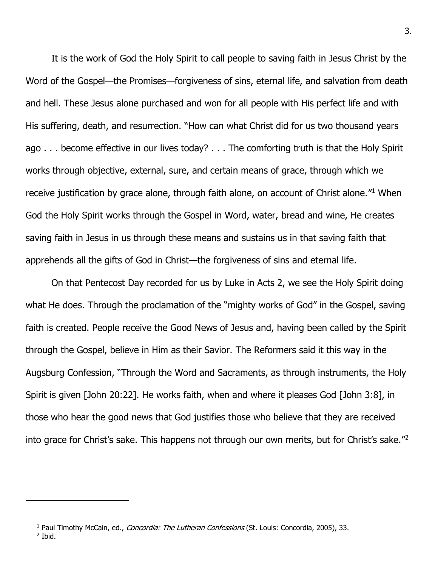It is the work of God the Holy Spirit to call people to saving faith in Jesus Christ by the Word of the Gospel—the Promises—forgiveness of sins, eternal life, and salvation from death and hell. These Jesus alone purchased and won for all people with His perfect life and with His suffering, death, and resurrection. "How can what Christ did for us two thousand years ago . . . become effective in our lives today? . . . The comforting truth is that the Holy Spirit works through objective, external, sure, and certain means of grace, through which we receive justification by grace alone, through faith alone, on account of Christ alone."<sup>1</sup> When God the Holy Spirit works through the Gospel in Word, water, bread and wine, He creates saving faith in Jesus in us through these means and sustains us in that saving faith that apprehends all the gifts of God in Christ—the forgiveness of sins and eternal life.

On that Pentecost Day recorded for us by Luke in Acts 2, we see the Holy Spirit doing what He does. Through the proclamation of the "mighty works of God" in the Gospel, saving faith is created. People receive the Good News of Jesus and, having been called by the Spirit through the Gospel, believe in Him as their Savior. The Reformers said it this way in the Augsburg Confession, "Through the Word and Sacraments, as through instruments, the Holy Spirit is given [John 20:22]. He works faith, when and where it pleases God [John 3:8], in those who hear the good news that God justifies those who believe that they are received into grace for Christ's sake. This happens not through our own merits, but for Christ's sake."<sup>2</sup>

<sup>&</sup>lt;sup>1</sup> Paul Timothy McCain, ed., *Concordia: The Lutheran Confessions* (St. Louis: Concordia, 2005), 33. 2 Ibid.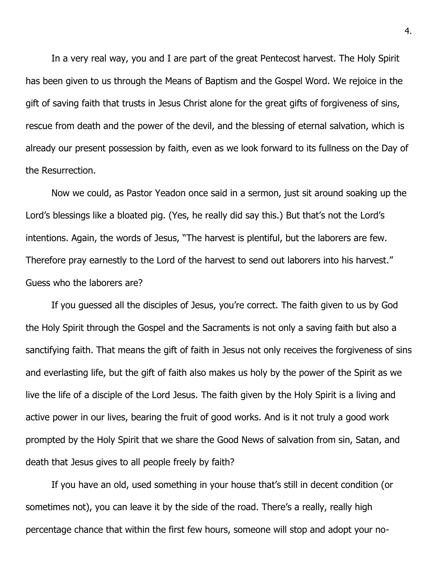In a very real way, you and I are part of the great Pentecost harvest. The Holy Spirit has been given to us through the Means of Baptism and the Gospel Word. We rejoice in the gift of saving faith that trusts in Jesus Christ alone for the great gifts of forgiveness of sins, rescue from death and the power of the devil, and the blessing of eternal salvation, which is already our present possession by faith, even as we look forward to its fullness on the Day of the Resurrection.

Now we could, as Pastor Yeadon once said in a sermon, just sit around soaking up the Lord's blessings like a bloated pig. (Yes, he really did say this.) But that's not the Lord's intentions. Again, the words of Jesus, "The harvest is plentiful, but the laborers are few. Therefore pray earnestly to the Lord of the harvest to send out laborers into his harvest." Guess who the laborers are?

If you guessed all the disciples of Jesus, you're correct. The faith given to us by God the Holy Spirit through the Gospel and the Sacraments is not only a saving faith but also a sanctifying faith. That means the gift of faith in Jesus not only receives the forgiveness of sins and everlasting life, but the gift of faith also makes us holy by the power of the Spirit as we live the life of a disciple of the Lord Jesus. The faith given by the Holy Spirit is a living and active power in our lives, bearing the fruit of good works. And is it not truly a good work prompted by the Holy Spirit that we share the Good News of salvation from sin, Satan, and death that Jesus gives to all people freely by faith?

If you have an old, used something in your house that's still in decent condition (or sometimes not), you can leave it by the side of the road. There's a really, really high percentage chance that within the first few hours, someone will stop and adopt your no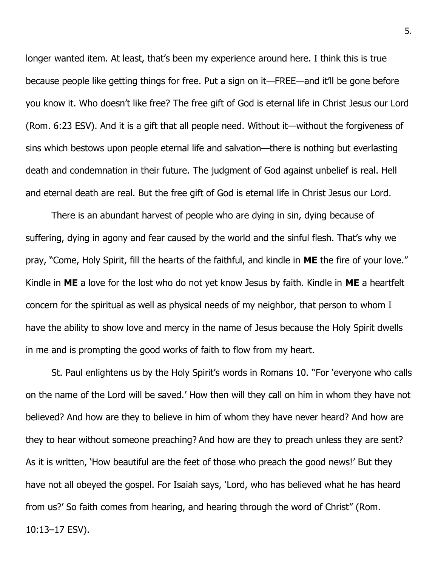longer wanted item. At least, that's been my experience around here. I think this is true because people like getting things for free. Put a sign on it—FREE—and it'll be gone before you know it. Who doesn't like free? The free gift of God is eternal life in Christ Jesus our Lord (Rom. 6:23 ESV). And it is a gift that all people need. Without it—without the forgiveness of sins which bestows upon people eternal life and salvation—there is nothing but everlasting death and condemnation in their future. The judgment of God against unbelief is real. Hell and eternal death are real. But the free gift of God is eternal life in Christ Jesus our Lord.

There is an abundant harvest of people who are dying in sin, dying because of suffering, dying in agony and fear caused by the world and the sinful flesh. That's why we pray, "Come, Holy Spirit, fill the hearts of the faithful, and kindle in **ME** the fire of your love." Kindle in **ME** a love for the lost who do not yet know Jesus by faith. Kindle in **ME** a heartfelt concern for the spiritual as well as physical needs of my neighbor, that person to whom I have the ability to show love and mercy in the name of Jesus because the Holy Spirit dwells in me and is prompting the good works of faith to flow from my heart.

St. Paul enlightens us by the Holy Spirit's words in Romans 10. "For 'everyone who calls on the name of the Lord will be saved.' How then will they call on him in whom they have not believed? And how are they to believe in him of whom they have never heard? And how are they to hear without someone preaching? And how are they to preach unless they are sent? As it is written, 'How beautiful are the feet of those who preach the good news!' But they have not all obeyed the gospel. For Isaiah says, 'Lord, who has believed what he has heard from us?' So faith comes from hearing, and hearing through the word of Christ" (Rom. 10:13–17 ESV).